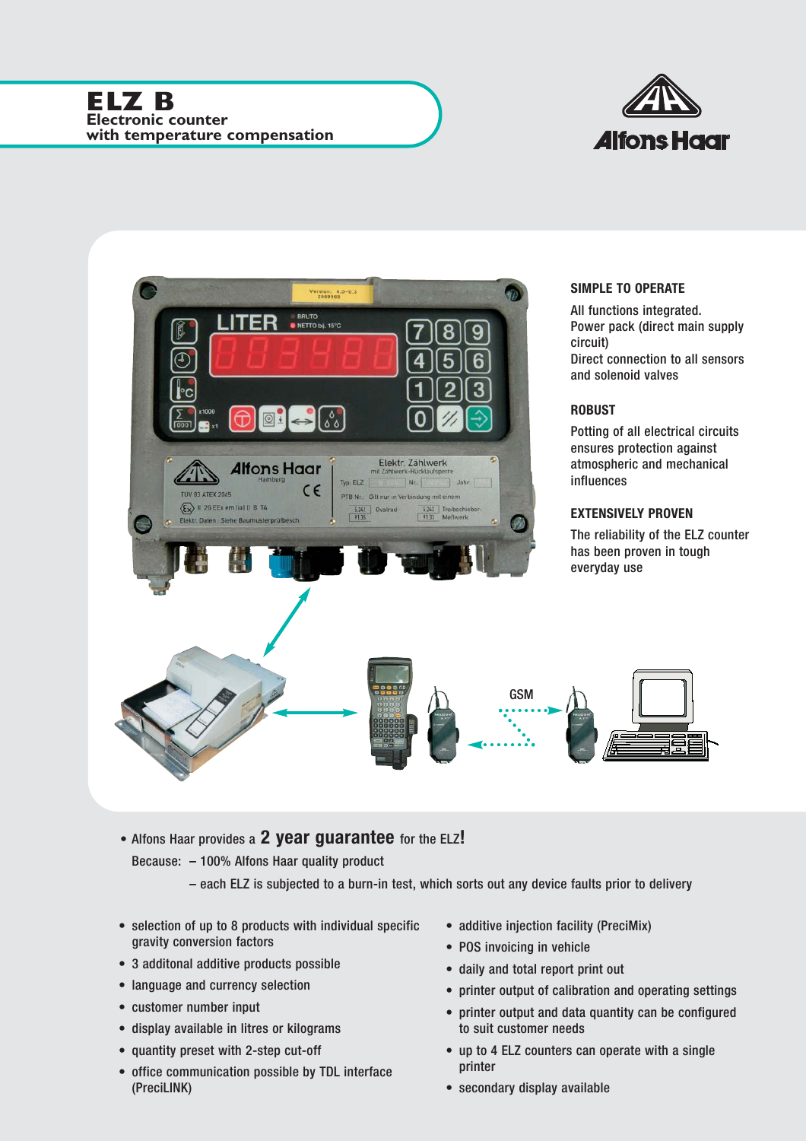



• Alfons Haar provides a **2 year guarantee** for the ELZ**!**

Because: – 100% Alfons Haar quality product

– each ELZ is subjected to a burn-in test, which sorts out any device faults prior to delivery

- selection of up to 8 products with individual specific gravity conversion factors
- 3 additonal additive products possible
- language and currency selection
- customer number input
- display available in litres or kilograms
- quantity preset with 2-step cut-off
- office communication possible by TDL interface (PreciLINK)
- additive injection facility (PreciMix)
- POS invoicing in vehicle
- daily and total report print out
- printer output of calibration and operating settings
- printer output and data quantity can be configured to suit customer needs
- up to 4 ELZ counters can operate with a single printer
- secondary display available